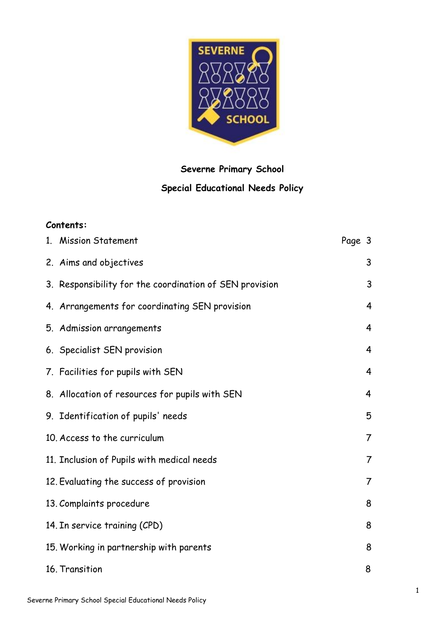

# **Severne Primary School Special Educational Needs Policy**

# **Contents:**

| 1. Mission Statement                                    | Page 3 |                |
|---------------------------------------------------------|--------|----------------|
| 2. Aims and objectives                                  |        | 3              |
| 3. Responsibility for the coordination of SEN provision |        | 3              |
| 4. Arrangements for coordinating SEN provision          |        | 4              |
| 5. Admission arrangements                               |        | 4              |
| 6. Specialist SEN provision                             |        | 4              |
| 7. Facilities for pupils with SEN                       |        | $\overline{4}$ |
| 8. Allocation of resources for pupils with SEN          |        | 4              |
| 9. Identification of pupils' needs                      |        | 5              |
| 10. Access to the curriculum                            |        | 7              |
| 11. Inclusion of Pupils with medical needs              |        | $\overline{7}$ |
| 12. Evaluating the success of provision                 |        | $\overline{7}$ |
| 13. Complaints procedure                                |        | 8              |
| 14. In service training (CPD)                           |        | 8              |
| 15. Working in partnership with parents                 |        | 8              |
| 16. Transition                                          |        | 8              |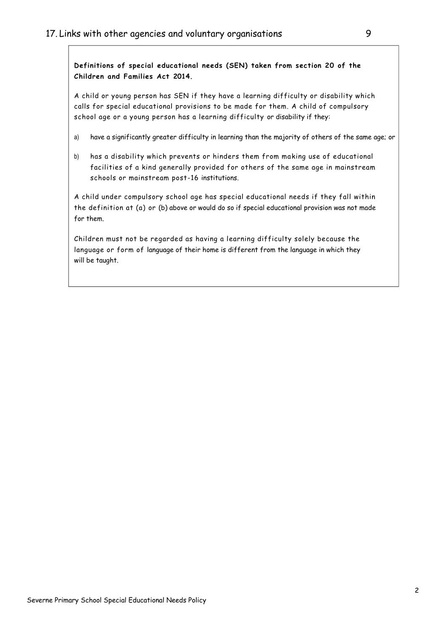**Definitions of special educational needs (SEN) taken from section 20 of the Children and Families Act 2014.**

A child or young person has SEN if they have a learning difficulty or disability which calls for special educational provisions to be made for them. A child of compulsory school age or a young person has a learning difficulty or disability if they:

- a) have a significantly greater difficulty in learning than the majority of others of the same age; or
- b) has a disability which prevents or hinders them from making use of educational facilities of a kind generally provided for others of the same age in mainstream schools or mainstream post-16 institutions.

A child under compulsory school age has special educational needs if they fall within the definition at (a) or (b) above or would do so if special educational provision was not made for them.

Children must not be regarded as having a learning difficulty solely because the language or form of language of their home is different from the language in which they will be taught.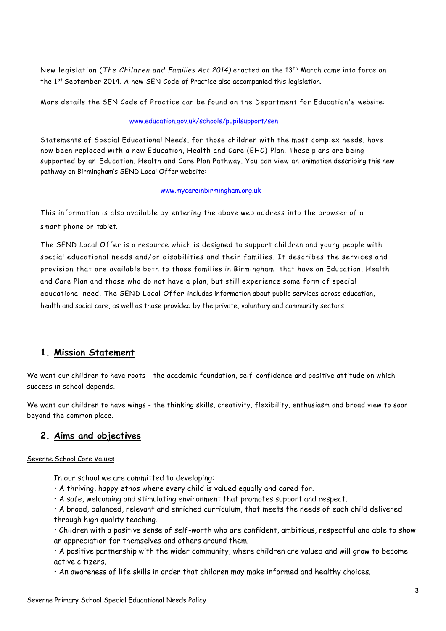New legislation (*The Children and Families Act 2014)* enacted on the 13th March came into force on the  $1^{5t}$  September 2014. A new SEN Code of Practice also accompanied this legislation.

More details the SEN Code of Practice can be found on the Department for Education's website:

#### [www.education.gov.uk/schools/pupilsupport/sen](http://www.education.gov.uk/schools/pupilsupport/sen)

Statements of Special Educational Needs, for those children with the most complex needs, have now been replaced with a new Education, Health and Care (EHC) Plan. These plans are being supported by an Education, Health and Care Plan Pathway. You can view an animation describing this new pathway on Birmingham's SEND Local Offer website:

#### [www.mycareinbirmingham.org.uk](http://www.mycareinbirmingham.org.uk/)

This information is also available by entering the above web address into the browser of a smart phone or tablet.

The SEND Local Offer is a resource which is designed to support children and young people with special educational needs and/or disabilities and their families. It describes the services and provision that are available both to those families in Birmingham that have an Education, Health and Care Plan and those who do not have a plan, but still experience some form of special educational need. The SEND Local Offer includes information about public services across education, health and social care, as well as those provided by the private, voluntary and community sectors.

### **1. Mission Statement**

We want our children to have roots - the academic foundation, self-confidence and positive attitude on which success in school depends.

We want our children to have wings - the thinking skills, creativity, flexibility, enthusiasm and broad view to soar beyond the common place.

### **2. Aims and objectives**

#### Severne School Core Values

In our school we are committed to developing:

- A thriving, happy ethos where every child is valued equally and cared for.
- A safe, welcoming and stimulating environment that promotes support and respect.

• A broad, balanced, relevant and enriched curriculum, that meets the needs of each child delivered through high quality teaching.

• Children with a positive sense of self-worth who are confident, ambitious, respectful and able to show an appreciation for themselves and others around them.

• A positive partnership with the wider community, where children are valued and will grow to become active citizens.

• An awareness of life skills in order that children may make informed and healthy choices.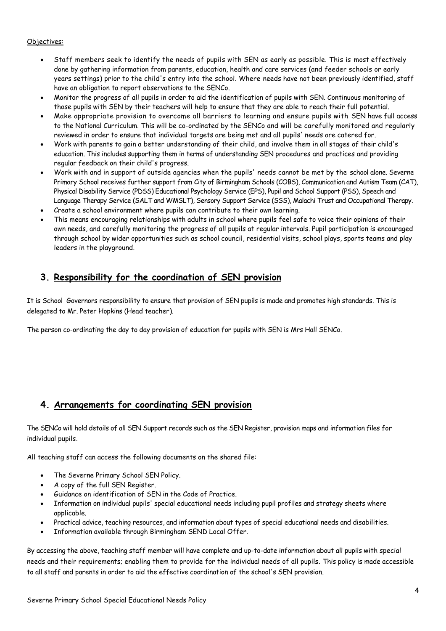#### Objectives:

- Staff members seek to identify the needs of pupils with SEN as early as possible. This is most effectively done by gathering information from parents, education, health and care services (and feeder schools or early years settings) prior to the child's entry into the school. Where needs have not been previously identified, staff have an obligation to report observations to the SENCo.
- Monitor the progress of all pupils in order to aid the identification of pupils with SEN. Continuous monitoring of those pupils with SEN by their teachers will help to ensure that they are able to reach their full potential.
- Make appropriate provision to overcome all barriers to learning and ensure pupils with SEN have full access to the National Curriculum. This will be co-ordinated by the SENCo and will be carefully monitored and regularly reviewed in order to ensure that individual targets are being met and all pupils' needs are catered for.
- Work with parents to gain a better understanding of their child, and involve them in all stages of their child's education. This includes supporting them in terms of understanding SEN procedures and practices and providing regular feedback on their child's progress.
- Work with and in support of outside agencies when the pupils' needs cannot be met by the school alone. Severne Primary School receives further support from City of Birmingham Schools (COBS), Communication and Autism Team (CAT), Physical Disability Service (PDSS) Educational Psychology Service (EPS), Pupil and School Support (PSS), Speech and Language Therapy Service (SALT and WMSLT), Sensory Support Service (SSS), Malachi Trust and Occupational Therapy.
- Create a school environment where pupils can contribute to their own learning.
- This means encouraging relationships with adults in school where pupils feel safe to voice their opinions of their own needs, and carefully monitoring the progress of all pupils at regular intervals. Pupil participation is encouraged through school by wider opportunities such as school council, residential visits, school plays, sports teams and play leaders in the playground.

# **3. Responsibility for the coordination of SEN provision**

It is School Governors responsibility to ensure that provision of SEN pupils is made and promotes high standards. This is delegated to Mr. Peter Hopkins (Head teacher).

The person co-ordinating the day to day provision of education for pupils with SEN is Mrs Hall SENCo.

# **4. Arrangements for coordinating SEN provision**

The SENCo will hold details of all SEN Support records such as the SEN Register, provision maps and information files for individual pupils.

All teaching staff can access the following documents on the shared file:

- The Severne Primary School SEN Policy.
- A copy of the full SEN Register.
- Guidance on identification of SEN in the Code of Practice.
- Information on individual pupils' special educational needs including pupil profiles and strategy sheets where applicable.
- Practical advice, teaching resources, and information about types of special educational needs and disabilities.
- Information available through Birmingham SEND Local Offer.

By accessing the above, teaching staff member will have complete and up-to-date information about all pupils with special needs and their requirements; enabling them to provide for the individual needs of all pupils. This policy is made accessible to all staff and parents in order to aid the effective coordination of the school's SEN provision.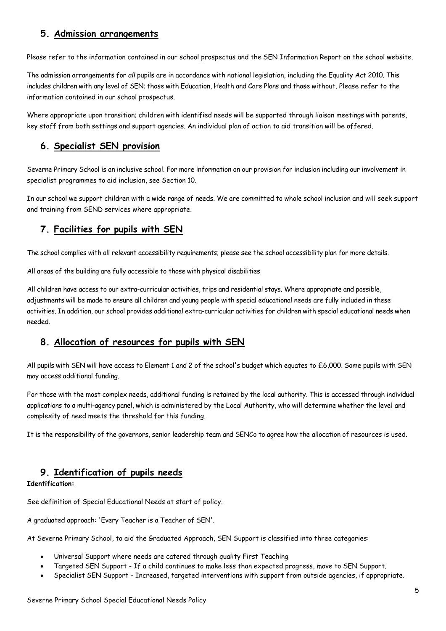### **5. Admission arrangements**

Please refer to the information contained in our school prospectus and the SEN Information Report on the school website.

The admission arrangements for *all* pupils are in accordance with national legislation, including the Equality Act 2010. This includes children with any level of SEN; those with Education, Health and Care Plans and those without. Please refer to the information contained in our school prospectus.

Where appropriate upon transition; children with identified needs will be supported through liaison meetings with parents, key staff from both settings and support agencies. An individual plan of action to aid transition will be offered.

### **6. Specialist SEN provision**

Severne Primary School is an inclusive school. For more information on our provision for inclusion including our involvement in specialist programmes to aid inclusion, see Section 10.

In our school we support children with a wide range of needs. We are committed to whole school inclusion and will seek support and training from SEND services where appropriate.

# **7. Facilities for pupils with SEN**

The school complies with all relevant accessibility requirements; please see the school accessibility plan for more details.

All areas of the building are fully accessible to those with physical disabilities

All children have access to our extra-curricular activities, trips and residential stays. Where appropriate and possible, adjustments will be made to ensure all children and young people with special educational needs are fully included in these activities. In addition, our school provides additional extra-curricular activities for children with special educational needs when needed.

# **8. Allocation of resources for pupils with SEN**

All pupils with SEN will have access to Element 1 and 2 of the school's budget which equates to £6,000. Some pupils with SEN may access additional funding.

For those with the most complex needs, additional funding is retained by the local authority. This is accessed through individual applications to a multi-agency panel, which is administered by the Local Authority, who will determine whether the level and complexity of need meets the threshold for this funding.

It is the responsibility of the governors, senior leadership team and SENCo to agree how the allocation of resources is used.

### **9. Identification of pupils needs**

#### **Identification:**

See definition of Special Educational Needs at start of policy.

A graduated approach: 'Every Teacher is a Teacher of SEN'.

At Severne Primary School, to aid the Graduated Approach, SEN Support is classified into three categories:

- Universal Support where needs are catered through quality First Teaching
- Targeted SEN Support If a child continues to make less than expected progress, move to SEN Support.
- Specialist SEN Support Increased, targeted interventions with support from outside agencies, if appropriate.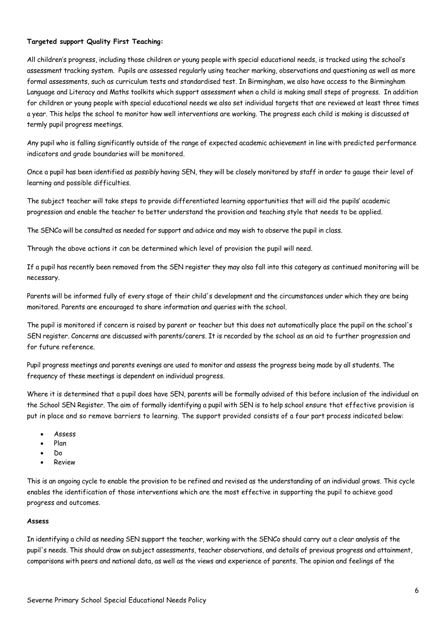#### **Targeted support Quality First Teaching:**

All children's progress, including those children or young people with special educational needs, is tracked using the school's assessment tracking system. Pupils are assessed regularly using teacher marking, observations and questioning as well as more formal assessments, such as curriculum tests and standardised test. In Birmingham, we also have access to the Birmingham Language and Literacy and Maths toolkits which support assessment when a child is making small steps of progress. In addition for children or young people with special educational needs we also set individual targets that are reviewed at least three times a year. This helps the school to monitor how well interventions are working. The progress each child is making is discussed at termly pupil progress meetings.

Any pupil who is falling significantly outside of the range of expected academic achievement in line with predicted performance indicators and grade boundaries will be monitored.

Once a pupil has been identified as *possibly* having SEN, they will be closely monitored by staff in order to gauge their level of learning and possible difficulties.

The subject teacher will take steps to provide differentiated learning opportunities that will aid the pupils' academic progression and enable the teacher to better understand the provision and teaching style that needs to be applied.

The SENCo will be consulted as needed for support and advice and may wish to observe the pupil in class.

Through the above actions it can be determined which level of provision the pupil will need.

If a pupil has recently been removed from the SEN register they may also fall into this category as continued monitoring will be necessary.

Parents will be informed fully of every stage of their child's development and the circumstances under which they are being monitored. Parents are encouraged to share information and queries with the school.

The pupil is monitored if concern is raised by parent or teacher but this does not automatically place the pupil on the school's SEN register. Concerns are discussed with parents/carers. It is recorded by the school as an aid to further progression and for future reference.

Pupil progress meetings and parents evenings are used to monitor and assess the progress being made by all students. The frequency of these meetings is dependent on individual progress.

Where it is determined that a pupil does have SEN, parents will be formally advised of this before inclusion of the individual on the School SEN Register. The aim of formally identifying a pupil with SEN is to help school ensure that effective provision is put in place and so remove barriers to learning. The support provided consists of a four part process indicated below:

- Assess
- Plan
- Do
- Review

This is an ongoing cycle to enable the provision to be refined and revised as the understanding of an individual grows. This cycle enables the identification of those interventions which are the most effective in supporting the pupil to achieve good progress and outcomes.

#### **Assess**

In identifying a child as needing SEN support the teacher, working with the SENCo should carry out a clear analysis of the pupil's needs. This should draw on subject assessments, teacher observations, and details of previous progress and attainment, comparisons with peers and national data, as well as the views and experience of parents. The opinion and feelings of the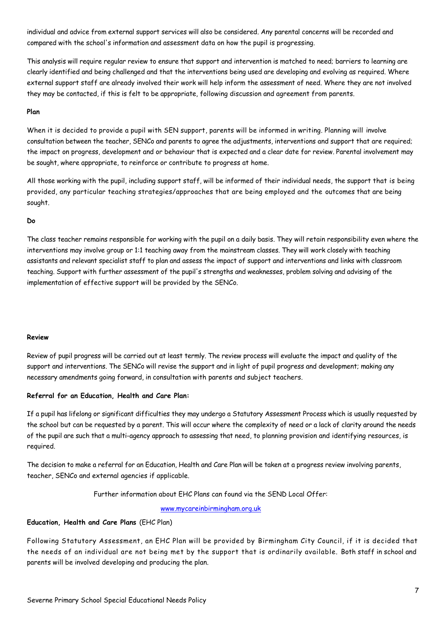individual and advice from external support services will also be considered. Any parental concerns will be recorded and compared with the school's information and assessment data on how the pupil is progressing.

This analysis will require regular review to ensure that support and intervention is matched to need; barriers to learning are clearly identified and being challenged and that the interventions being used are developing and evolving as required. Where external support staff are already involved their work will help inform the assessment of need. Where they are not involved they may be contacted, if this is felt to be appropriate, following discussion and agreement from parents.

#### **Plan**

When it is decided to provide a pupil with SEN support, parents will be informed in writing. Planning will involve consultation between the teacher, SENCo and parents to agree the adjustments, interventions and support that are required; the impact on progress, development and or behaviour that is expected and a clear date for review. Parental involvement may be sought, where appropriate, to reinforce or contribute to progress at home.

All those working with the pupil, including support staff, will be informed of their individual needs, the support that is being provided, any particular teaching strategies/approaches that are being employed and the outcomes that are being sought.

#### **Do**

The class teacher remains responsible for working with the pupil on a daily basis. They will retain responsibility even where the interventions may involve group or 1:1 teaching away from the mainstream classes. They will work closely with teaching assistants and relevant specialist staff to plan and assess the impact of support and interventions and links with classroom teaching. Support with further assessment of the pupil's strengths and weaknesses, problem solving and advising of the implementation of effective support will be provided by the SENCo.

#### **Review**

Review of pupil progress will be carried out at least termly. The review process will evaluate the impact and quality of the support and interventions. The SENCo will revise the support and in light of pupil progress and development; making any necessary amendments going forward, in consultation with parents and subject teachers.

#### **Referral for an Education, Health and Care Plan:**

If a pupil has lifelong or significant difficulties they may undergo a Statutory Assessment Process which is usually requested by the school but can be requested by a parent. This will occur where the complexity of need or a lack of clarity around the needs of the pupil are such that a multi-agency approach to assessing that need, to planning provision and identifying resources, is required.

The decision to make a referral for an Education, Health and Care Plan will be taken at a progress review involving parents, teacher, SENCo and external agencies if applicable.

Further information about EHC Plans can found via the SEND Local Offer:

[www.mycareinbirmingham.org.uk](http://www.mycareinbirmingham.org.uk/)

#### **Education, Health and Care Plans** (EHC Plan)

Following Statutory Assessment, an EHC Plan will be provided by Birmingham City Council, if it is decided that the needs of an individual are not being met by the support that is ordinarily available. Both staff in school and parents will be involved developing and producing the plan.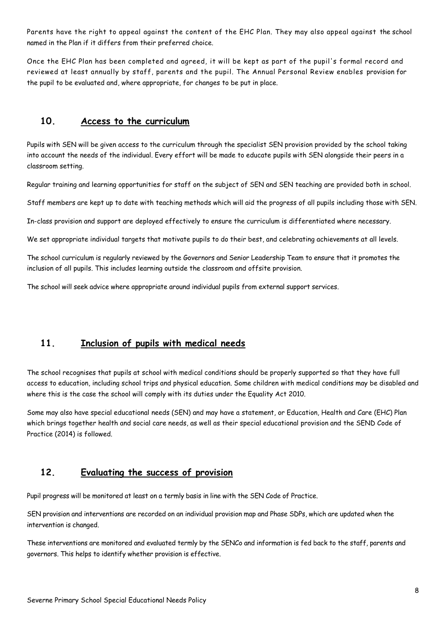Parents have the right to appeal against the content of the EHC Plan. They may also appeal against the school named in the Plan if it differs from their preferred choice.

Once the EHC Plan has been completed and agreed, it will be kept as part of the pupil's formal record and reviewed at least annually by staff, parents and the pupil. The Annual Personal Review enables provision for the pupil to be evaluated and, where appropriate, for changes to be put in place.

### **10. Access to the curriculum**

Pupils with SEN will be given access to the curriculum through the specialist SEN provision provided by the school taking into account the needs of the individual. Every effort will be made to educate pupils with SEN alongside their peers in a classroom setting.

Regular training and learning opportunities for staff on the subject of SEN and SEN teaching are provided both in school.

Staff members are kept up to date with teaching methods which will aid the progress of all pupils including those with SEN.

In-class provision and support are deployed effectively to ensure the curriculum is differentiated where necessary.

We set appropriate individual targets that motivate pupils to do their best, and celebrating achievements at all levels.

The school curriculum is regularly reviewed by the Governors and Senior Leadership Team to ensure that it promotes the inclusion of all pupils. This includes learning outside the classroom and offsite provision.

The school will seek advice where appropriate around individual pupils from external support services.

# **11. Inclusion of pupils with medical needs**

The school recognises that pupils at school with medical conditions should be properly supported so that they have full access to education, including school trips and physical education. Some children with medical conditions may be disabled and where this is the case the school will comply with its duties under the Equality Act 2010.

Some may also have special educational needs (SEN) and may have a statement, or Education, Health and Care (EHC) Plan which brings together health and social care needs, as well as their special educational provision and the SEND Code of Practice (2014) is followed.

### **12. Evaluating the success of provision**

Pupil progress will be monitored at least on a termly basis in line with the SEN Code of Practice.

SEN provision and interventions are recorded on an individual provision map and Phase SDPs, which are updated when the intervention is changed.

These interventions are monitored and evaluated termly by the SENCo and information is fed back to the staff, parents and governors. This helps to identify whether provision is effective.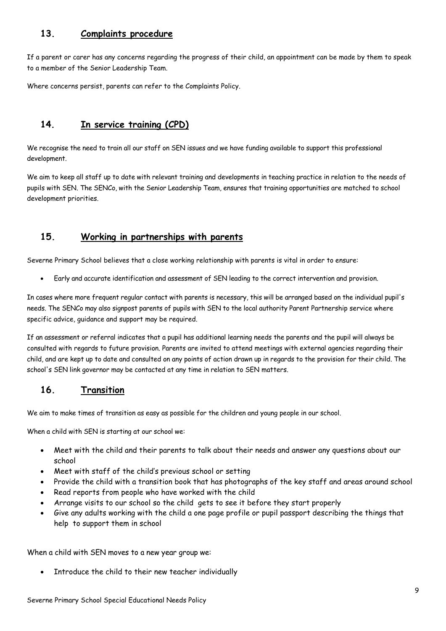### **13. Complaints procedure**

If a parent or carer has any concerns regarding the progress of their child, an appointment can be made by them to speak to a member of the Senior Leadership Team.

Where concerns persist, parents can refer to the Complaints Policy.

# **14. In service training (CPD)**

We recognise the need to train all our staff on SEN issues and we have funding available to support this professional development.

We aim to keep all staff up to date with relevant training and developments in teaching practice in relation to the needs of pupils with SEN. The SENCo, with the Senior Leadership Team, ensures that training opportunities are matched to school development priorities.

# **15. Working in partnerships with parents**

Severne Primary School believes that a close working relationship with parents is vital in order to ensure:

• Early and accurate identification and assessment of SEN leading to the correct intervention and provision.

In cases where more frequent regular contact with parents is necessary, this will be arranged based on the individual pupil's needs. The SENCo may also signpost parents of pupils with SEN to the local authority Parent Partnership service where specific advice, guidance and support may be required.

If an assessment or referral indicates that a pupil has additional learning needs the parents and the pupil will always be consulted with regards to future provision. Parents are invited to attend meetings with external agencies regarding their child, and are kept up to date and consulted on any points of action drawn up in regards to the provision for their child. The school's SEN link governor may be contacted at any time in relation to SEN matters.

# **16. Transition**

We aim to make times of transition as easy as possible for the children and young people in our school.

When a child with SEN is starting at our school we:

- Meet with the child and their parents to talk about their needs and answer any questions about our school
- Meet with staff of the child's previous school or setting
- Provide the child with a transition book that has photographs of the key staff and areas around school
- Read reports from people who have worked with the child
- Arrange visits to our school so the child gets to see it before they start properly
- Give any adults working with the child a one page profile or pupil passport describing the things that help to support them in school

When a child with SEN moves to a new year group we:

Introduce the child to their new teacher individually